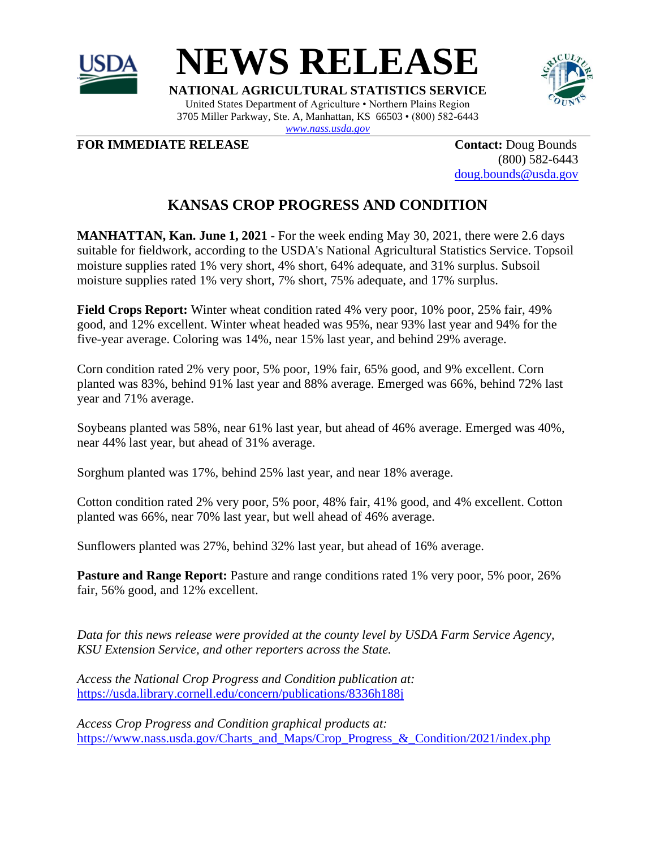



**NATIONAL AGRICULTURAL STATISTICS SERVICE** United States Department of Agriculture • Northern Plains Region 3705 Miller Parkway, Ste. A, Manhattan, KS 66503 • (800) 582-6443 *[www.nass.usda.gov](http://www.nass.usda.gov/)*



**FOR IMMEDIATE RELEASE Contact:** Doug Bounds

(800) 582-6443 [doug.bounds@usda.gov](mailto:doug.bounds@usda.gov)

## **KANSAS CROP PROGRESS AND CONDITION**

**MANHATTAN, Kan. June 1, 2021** - For the week ending May 30, 2021, there were 2.6 days suitable for fieldwork, according to the USDA's National Agricultural Statistics Service. Topsoil moisture supplies rated 1% very short, 4% short, 64% adequate, and 31% surplus. Subsoil moisture supplies rated 1% very short, 7% short, 75% adequate, and 17% surplus.

**Field Crops Report:** Winter wheat condition rated 4% very poor, 10% poor, 25% fair, 49% good, and 12% excellent. Winter wheat headed was 95%, near 93% last year and 94% for the five-year average. Coloring was 14%, near 15% last year, and behind 29% average.

Corn condition rated 2% very poor, 5% poor, 19% fair, 65% good, and 9% excellent. Corn planted was 83%, behind 91% last year and 88% average. Emerged was 66%, behind 72% last year and 71% average.

Soybeans planted was 58%, near 61% last year, but ahead of 46% average. Emerged was 40%, near 44% last year, but ahead of 31% average.

Sorghum planted was 17%, behind 25% last year, and near 18% average.

Cotton condition rated 2% very poor, 5% poor, 48% fair, 41% good, and 4% excellent. Cotton planted was 66%, near 70% last year, but well ahead of 46% average.

Sunflowers planted was 27%, behind 32% last year, but ahead of 16% average.

Pasture and Range Report: Pasture and range conditions rated 1% very poor, 5% poor, 26% fair, 56% good, and 12% excellent.

*Data for this news release were provided at the county level by USDA Farm Service Agency, KSU Extension Service, and other reporters across the State.*

*Access the National Crop Progress and Condition publication at:* https://usda.library.cornell.edu/concern/publications/8336h188j

*Access Crop Progress and Condition graphical products at:* https://www.nass.usda.gov/Charts\_and\_Maps/Crop\_Progress\_&\_Condition/2021/index.php